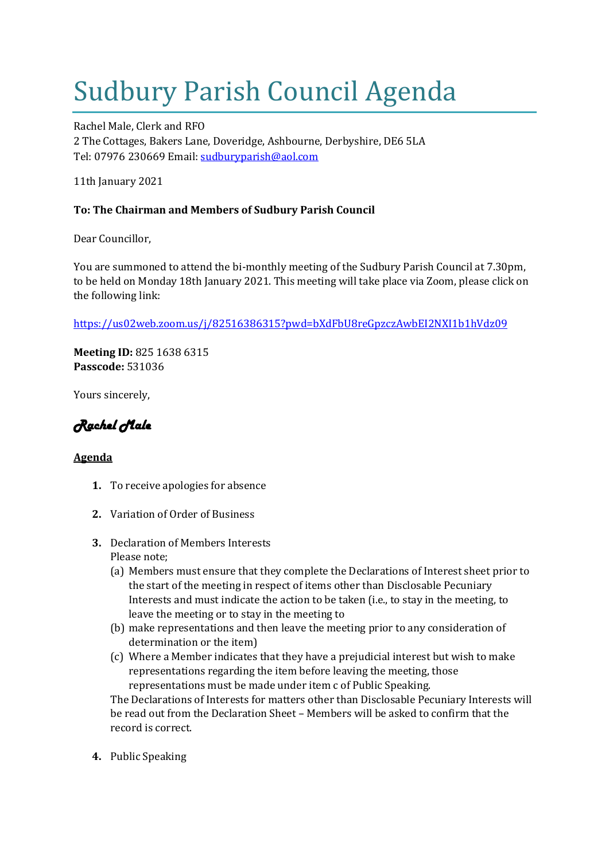## Sudbury Parish Council Agenda

Rachel Male, Clerk and RFO 2 The Cottages, Bakers Lane, Doveridge, Ashbourne, Derbyshire, DE6 5LA Tel: 07976 230669 Email: [sudburyparish@aol.com](mailto:sudburyparish@aol.com)

11th January 2021

## **To: The Chairman and Members of Sudbury Parish Council**

Dear Councillor,

You are summoned to attend the bi-monthly meeting of the Sudbury Parish Council at 7.30pm, to be held on Monday 18th January 2021. This meeting will take place via Zoom, please click on the following link:

<https://us02web.zoom.us/j/82516386315?pwd=bXdFbU8reGpzczAwbEI2NXI1b1hVdz09>

**Meeting ID:** 825 1638 6315 **Passcode:** 531036

Yours sincerely,

*Rachel Male* 

## **Agenda**

- **1.** To receive apologies for absence
- **2.** Variation of Order of Business
- **3.** Declaration of Members Interests Please note;
	- (a) Members must ensure that they complete the Declarations of Interest sheet prior to the start of the meeting in respect of items other than Disclosable Pecuniary Interests and must indicate the action to be taken (i.e., to stay in the meeting, to leave the meeting or to stay in the meeting to
	- (b) make representations and then leave the meeting prior to any consideration of determination or the item)
	- (c) Where a Member indicates that they have a prejudicial interest but wish to make representations regarding the item before leaving the meeting, those representations must be made under item c of Public Speaking.

The Declarations of Interests for matters other than Disclosable Pecuniary Interests will be read out from the Declaration Sheet – Members will be asked to confirm that the record is correct.

**4.** Public Speaking